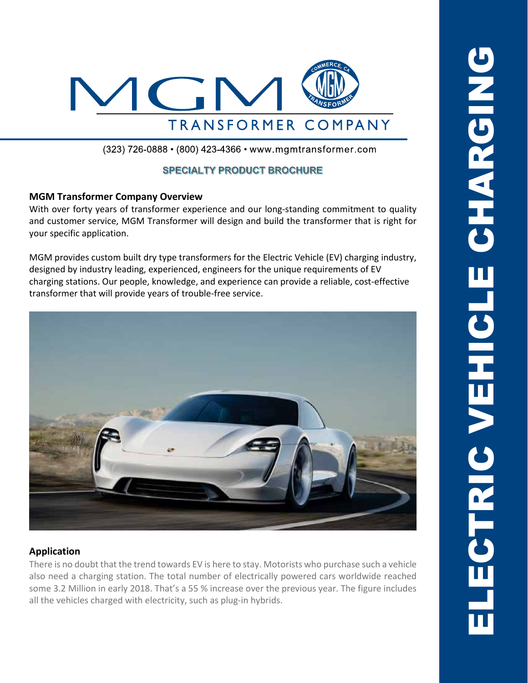

(323) 726-0888 • (800) 423-4366 • www.mgmtransformer.com

# **SPECIALTY PRODUCT BROCHURE**

#### **MGM Transformer Company Overview**

With over forty years of transformer experience and our long-standing commitment to quality and customer service, MGM Transformer will design and build the transformer that is right for your specific application.

MGM provides custom built dry type transformers for the Electric Vehicle (EV) charging industry, designed by industry leading, experienced, engineers for the unique requirements of EV charging stations. Our people, knowledge, and experience can provide a reliable, cost-effective transformer that will provide years of trouble-free service.



## **Application**

There is no doubt that the trend towards EV is here to stay. Motorists who purchase such a vehicle also need a charging station. The total number of electrically powered cars worldwide reached some 3.2 Million in early 2018. That's a 55 % increase over the previous year. The figure includes all the vehicles charged with electricity, such as plug-in hybrids.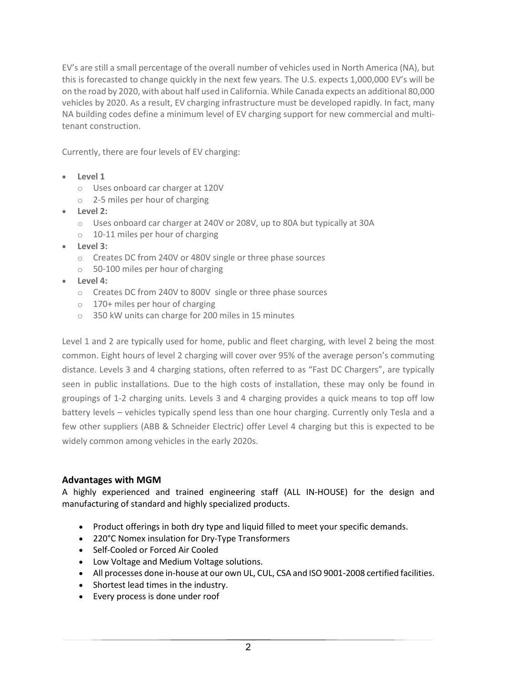EV's are still a small percentage of the overall number of vehicles used in North America (NA), but this is forecasted to change quickly in the next few years. The U.S. expects 1,000,000 EV's will be on the road by 2020, with about half used in California. While Canada expects an additional 80,000 vehicles by 2020. As a result, EV charging infrastructure must be developed rapidly. In fact, many NA building codes define a minimum level of EV charging support for new commercial and multitenant construction.

Currently, there are four levels of EV charging:

- **Level 1**
	- o Uses onboard car charger at 120V
	- o 2-5 miles per hour of charging
- **Level 2:**
	- o Uses onboard car charger at 240V or 208V, up to 80A but typically at 30A
	- o 10-11 miles per hour of charging
- **Level 3:**
	- o Creates DC from 240V or 480V single or three phase sources
	- o 50-100 miles per hour of charging
- **Level 4:**
	- o Creates DC from 240V to 800V single or three phase sources
	- o 170+ miles per hour of charging
	- o 350 kW units can charge for 200 miles in 15 minutes

Level 1 and 2 are typically used for home, public and fleet charging, with level 2 being the most common. Eight hours of level 2 charging will cover over 95% of the average person's commuting distance. Levels 3 and 4 charging stations, often referred to as "Fast DC Chargers", are typically seen in public installations. Due to the high costs of installation, these may only be found in groupings of 1-2 charging units. Levels 3 and 4 charging provides a quick means to top off low battery levels – vehicles typically spend less than one hour charging. Currently only Tesla and a few other suppliers (ABB & Schneider Electric) offer Level 4 charging but this is expected to be widely common among vehicles in the early 2020s.

#### **Advantages with MGM**

A highly experienced and trained engineering staff (ALL IN-HOUSE) for the design and manufacturing of standard and highly specialized products.

- Product offerings in both dry type and liquid filled to meet your specific demands.
- 220°C Nomex insulation for Dry-Type Transformers
- Self-Cooled or Forced Air Cooled
- Low Voltage and Medium Voltage solutions.
- All processes done in-house at our own UL, CUL, CSA and ISO 9001-2008 certified facilities.
- Shortest lead times in the industry.
- Every process is done under roof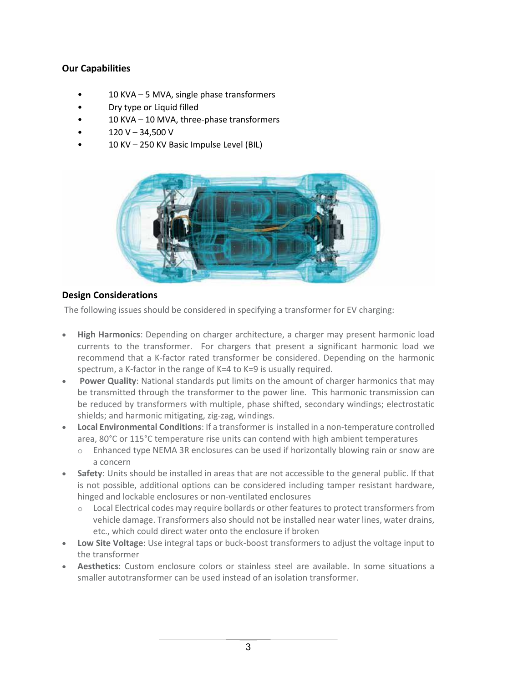## **Our Capabilities**

- 10 KVA 5 MVA, single phase transformers
- Dry type or Liquid filled
- 10 KVA 10 MVA, three-phase transformers
- $120 V 34,500 V$
- 10 KV 250 KV Basic Impulse Level (BIL)



## **Design Considerations**

The following issues should be considered in specifying a transformer for EV charging:

- **High Harmonics**: Depending on charger architecture, a charger may present harmonic load currents to the transformer. For chargers that present a significant harmonic load we recommend that a K-factor rated transformer be considered. Depending on the harmonic spectrum, a K-factor in the range of K=4 to K=9 is usually required.
- **Power Quality**: National standards put limits on the amount of charger harmonics that may be transmitted through the transformer to the power line. This harmonic transmission can be reduced by transformers with multiple, phase shifted, secondary windings; electrostatic shields; and harmonic mitigating, zig-zag, windings.
- **Local Environmental Conditions**: If a transformer is installed in a non-temperature controlled area, 80°C or 115°C temperature rise units can contend with high ambient temperatures
	- o Enhanced type NEMA 3R enclosures can be used if horizontally blowing rain or snow are a concern
- **Safety**: Units should be installed in areas that are not accessible to the general public. If that is not possible, additional options can be considered including tamper resistant hardware, hinged and lockable enclosures or non-ventilated enclosures
	- o Local Electrical codes may require bollards or other features to protect transformers from vehicle damage. Transformers also should not be installed near water lines, water drains, etc., which could direct water onto the enclosure if broken
- **Low Site Voltage**: Use integral taps or buck-boost transformers to adjust the voltage input to the transformer
- **Aesthetics**: Custom enclosure colors or stainless steel are available. In some situations a smaller autotransformer can be used instead of an isolation transformer.